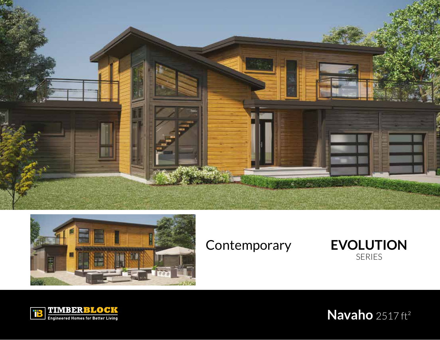







**Navaho** 2517 ft²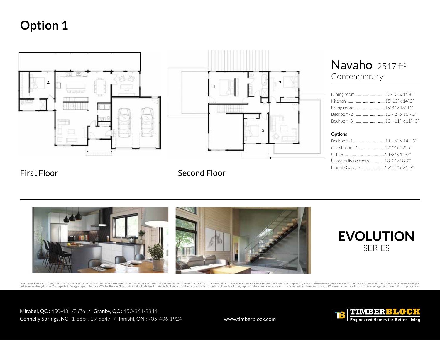

## Navaho 2517 ft<sup>2</sup> Contemporary

### **Options**

| Upstairs living room 13'-2" x 18'-2" |  |
|--------------------------------------|--|
| Double Garage 22'-10" x 24'-3"       |  |

### First Floor Second Floor





Mirabel, QC : 450-431-7676 / Granby, QC : 450-361-3344 Connelly Springs, NC: 1-866-929-5647 / Innisfil, ON: 705-436-1924 www.timberblock.com

THE TIMBER BLOCK SYSTEM, ITS COMPONENTS AND INTELLECTUAL PROPERTIES ARE PROTECTED BY INTERNATIONAL PATENTED PENDING LAWS. @2015 Timber Block Inc. All limages shown are 3D renders and are for illustration purpose only. The to international copyright law. The simple fact of using or copying the plans of Timber Block Inc?Thermostruture inc. in whole or in part or to fabricate or build directly or indirectly a home based, in whole or in part, o

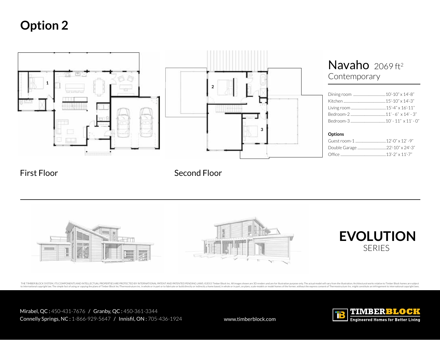

First Floor Second Floor



THE TIMBER BLOCK SYSTEM, ITS COMPONENTS AND INTELLECTUAL PROPERTIES ARE PROTECTED BY INTERNATIONAL PATENTED PENDING LAWS. @2015 Timber Block Inc. All images shown are 3D renders and are for illustration purpose only. The a to international copyright law. The simple fact of using or copying the plans of Timber Block Inc./Thermostruture inc. in whole or in part or to fabricate or build directly or indirectly a home based, in whole or in part,

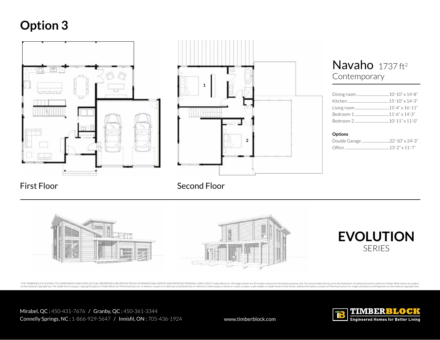



### Navaho 1737 ft<sup>2</sup> Contemporary

### **Options**

### First Floor Second Floor



THE TIMBER BLOCK SYSTEM, ITS COMPONENTS AND INTELLECTUAL PROPERTIES ARE PROTECTED BY INTERNATIONAL PATENTED PENDING LAWS. @2015 Timber Block Inc. All limages shown are 3D renders and are for illustration purpose only. The to international copyright law. The simple fact of using or copying the plans of Timber Block Inc?Thermostruture inc. in whole or in part or to fabricate or build directly or indirectly a home based, in whole or in part, o

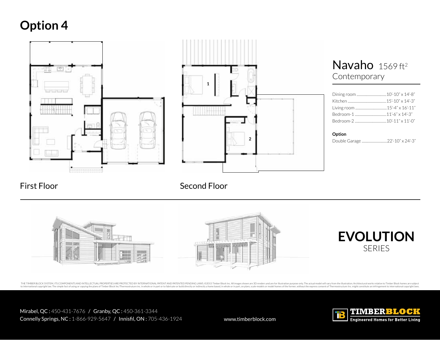

### First Floor Second Floor



THE TIMBER BLOCK SYSTEM, ITS COMPONENTS AND INTELLECTUAL PROPERTIES ARE PROTECTED BY INTERNATIONAL PATENTED PENDING LAWS. @2015 Timber Block Inc. All limages shown are 3D renders and are for illustration purpose only. The to international copyright law. The simple fact of using or copying the plans of Timber Block Inc./Thermostruture inc. in whole or in part or to fabricate or build directly or indirectly a home based, in whole or in part,